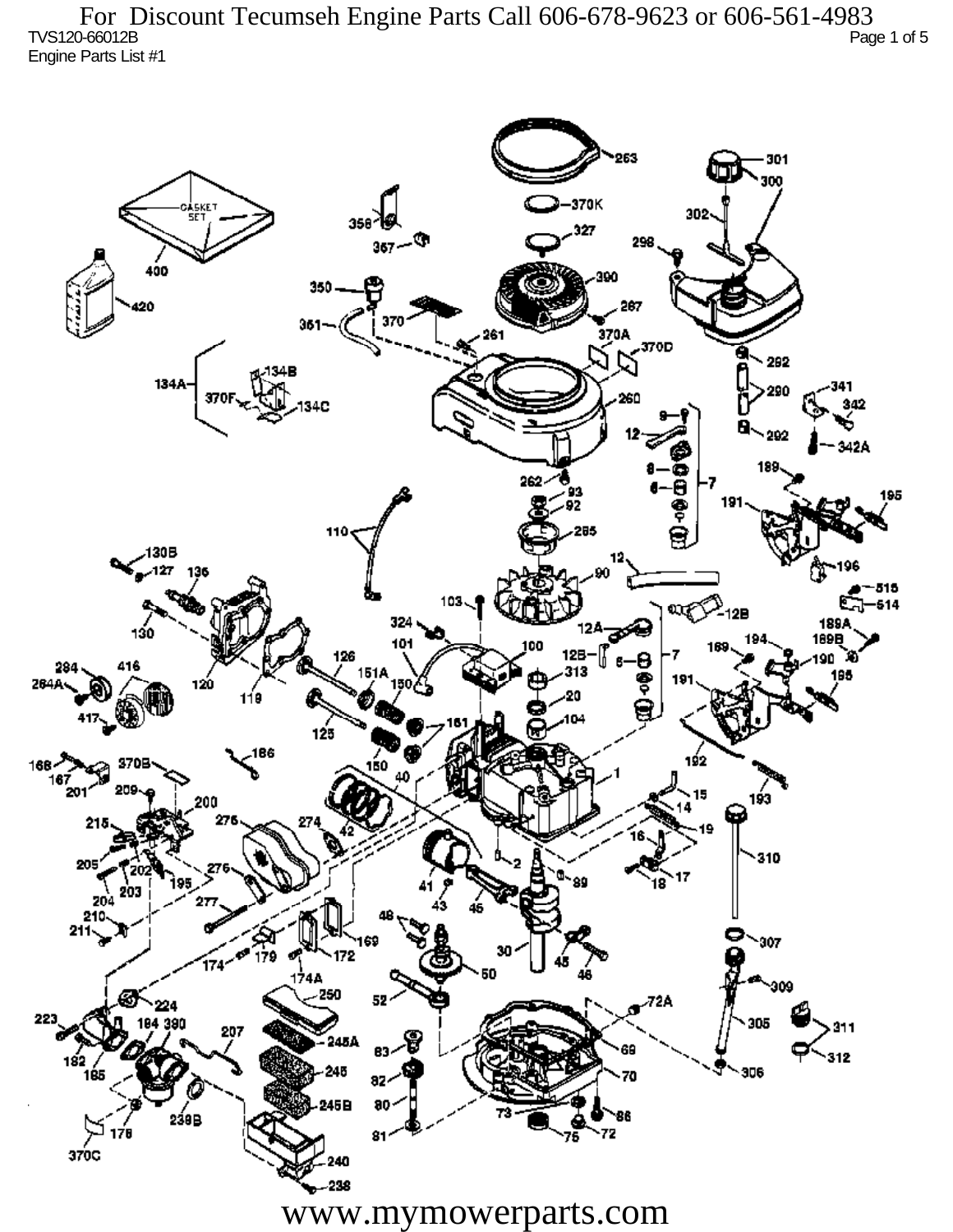TVS120-66012B Page 1 of 5 Engine Parts List #1 For Discount Tecumseh Engine Parts Call 606-678-9623 or 606-561-4983

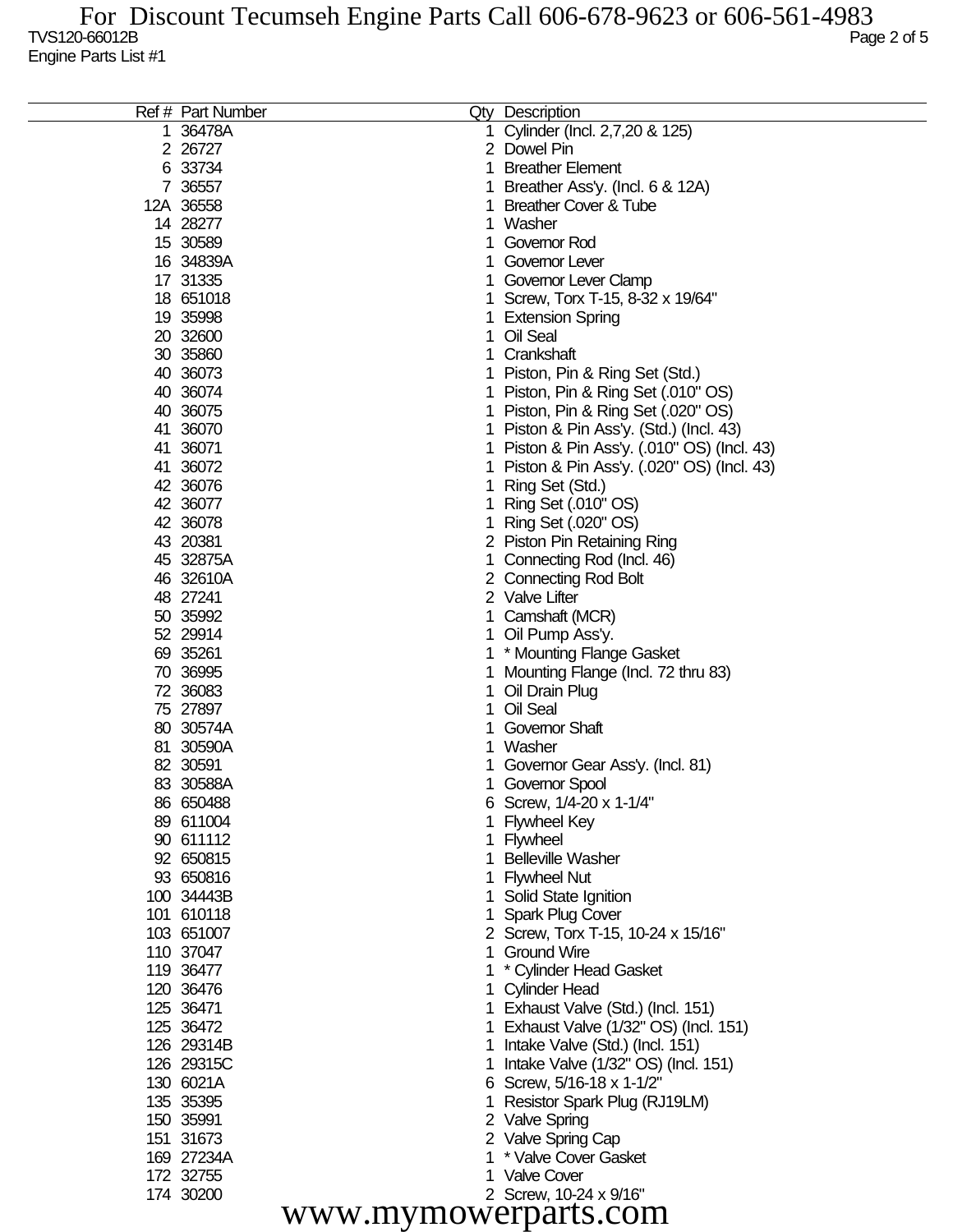|                      | Ref # Part Number    |             | Qty Description                           |  |  |  |
|----------------------|----------------------|-------------|-------------------------------------------|--|--|--|
| 1                    | 36478A               | 1.          | Cylinder (Incl. 2,7,20 & 125)             |  |  |  |
|                      | 2 26727              |             | 2 Dowel Pin                               |  |  |  |
|                      | 6 33734              | $\mathbf 1$ | <b>Breather Element</b>                   |  |  |  |
|                      | 7 36557              | 1           | Breather Ass'y. (Incl. 6 & 12A)           |  |  |  |
|                      | 12A 36558            | 1           | <b>Breather Cover &amp; Tube</b>          |  |  |  |
|                      | 14 28277             |             | 1 Washer                                  |  |  |  |
|                      | 15 30589             | 1.          | Governor Rod                              |  |  |  |
|                      | 16 34839A            | 1.          | Governor Lever                            |  |  |  |
|                      | 17 31335             |             | 1 Governor Lever Clamp                    |  |  |  |
|                      | 18 651018            |             | 1 Screw, Torx T-15, 8-32 x 19/64"         |  |  |  |
|                      | 19 35998             |             | 1 Extension Spring                        |  |  |  |
|                      | 20 32600             | 1.          | Oil Seal                                  |  |  |  |
|                      | 30 35860             | 1.          | Crankshaft                                |  |  |  |
|                      | 40 36073             |             | 1 Piston, Pin & Ring Set (Std.)           |  |  |  |
|                      | 40 36074             |             | 1 Piston, Pin & Ring Set (.010" OS)       |  |  |  |
|                      | 40 36075             |             | 1 Piston, Pin & Ring Set (.020" OS)       |  |  |  |
|                      | 41 36070             |             | 1 Piston & Pin Ass'y. (Std.) (Incl. 43)   |  |  |  |
|                      | 41 36071             | 1           | Piston & Pin Ass'y. (.010" OS) (Incl. 43) |  |  |  |
|                      | 41 36072             | 1           | Piston & Pin Ass'y. (.020" OS) (Incl. 43) |  |  |  |
|                      | 42 36076             | 1           | Ring Set (Std.)                           |  |  |  |
|                      | 42 36077             | 1           | Ring Set (.010" OS)                       |  |  |  |
|                      | 42 36078             | 1           | Ring Set (.020" OS)                       |  |  |  |
|                      | 43 20381             |             | 2 Piston Pin Retaining Ring               |  |  |  |
|                      | 45 32875A            | 1           | Connecting Rod (Incl. 46)                 |  |  |  |
|                      | 46 32610A            |             | 2 Connecting Rod Bolt                     |  |  |  |
|                      | 48 27241             |             | 2 Valve Lifter                            |  |  |  |
|                      | 50 35992             | 1           | Camshaft (MCR)                            |  |  |  |
|                      | 52 29914             |             | 1 Oil Pump Ass'y.                         |  |  |  |
|                      | 69 35261<br>70 36995 |             | 1 * Mounting Flange Gasket                |  |  |  |
|                      | 72 36083             | 1           | Mounting Flange (Incl. 72 thru 83)        |  |  |  |
|                      | 75 27897             | 1.          | Oil Drain Plug<br>Oil Seal                |  |  |  |
|                      | 80 30574A            | 1.<br>1     | <b>Governor Shaft</b>                     |  |  |  |
|                      | 81 30590A            | 1           | Washer                                    |  |  |  |
|                      | 82 30591             |             | Governor Gear Ass'y. (Incl. 81)           |  |  |  |
|                      | 83 30588A            |             | 1 Governor Spool                          |  |  |  |
|                      | 86 650488            |             | 6 Screw, 1/4-20 x 1-1/4"                  |  |  |  |
|                      | 89 611004            |             | <b>Flywheel Key</b>                       |  |  |  |
|                      | 90 611112            |             | 1 Flywheel                                |  |  |  |
|                      | 92 650815            |             | <b>Belleville Washer</b>                  |  |  |  |
|                      | 93 650816            | 1.          | <b>Flywheel Nut</b>                       |  |  |  |
|                      | 100 34443B           |             | Solid State Ignition                      |  |  |  |
|                      | 101 610118           | 1.          | <b>Spark Plug Cover</b>                   |  |  |  |
|                      | 103 651007           |             | 2 Screw, Torx T-15, 10-24 x 15/16"        |  |  |  |
|                      | 110 37047            |             | 1 Ground Wire                             |  |  |  |
|                      | 119 36477            |             | * Cylinder Head Gasket                    |  |  |  |
|                      | 120 36476            |             | 1 Cylinder Head                           |  |  |  |
|                      | 125 36471            |             | 1 Exhaust Valve (Std.) (Incl. 151)        |  |  |  |
|                      | 125 36472            |             | 1 Exhaust Valve (1/32" OS) (Incl. 151)    |  |  |  |
|                      | 126 29314B           | 1.          | Intake Valve (Std.) (Incl. 151)           |  |  |  |
|                      | 126 29315C           | 1.          | Intake Valve (1/32" OS) (Incl. 151)       |  |  |  |
|                      | 130 6021A            |             | 6 Screw, 5/16-18 x 1-1/2"                 |  |  |  |
|                      | 135 35395            | 1.          | Resistor Spark Plug (RJ19LM)              |  |  |  |
|                      | 150 35991            |             | 2 Valve Spring                            |  |  |  |
|                      | 151 31673            |             | 2 Valve Spring Cap                        |  |  |  |
|                      | 169 27234A           |             | * Valve Cover Gasket                      |  |  |  |
|                      | 172 32755            |             | 1 Valve Cover                             |  |  |  |
|                      | 174 30200            |             | 2 Screw, 10-24 x 9/16"                    |  |  |  |
| www.mymowerparts.com |                      |             |                                           |  |  |  |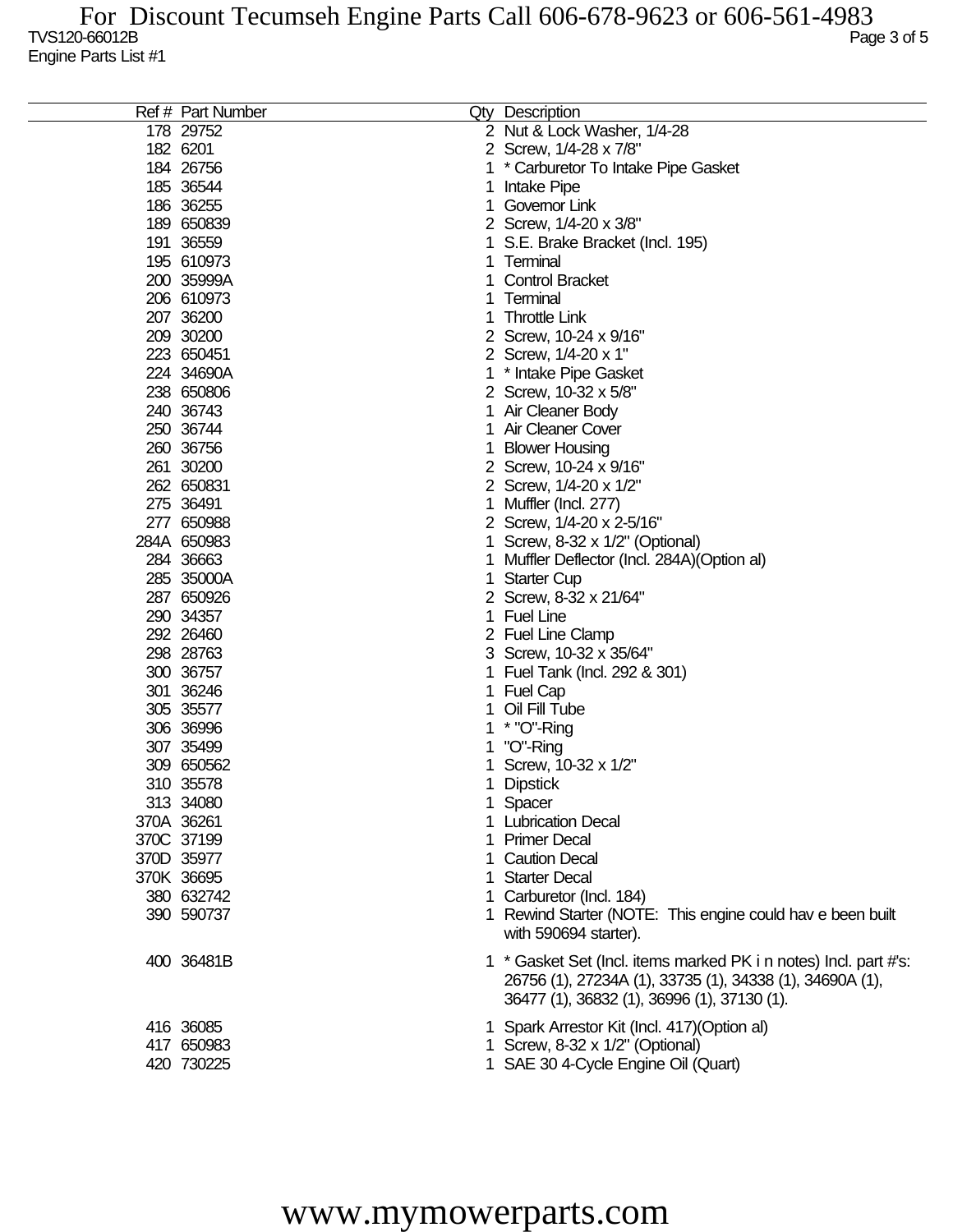| Ref # Part Number | Qty Description                                                                                                              |
|-------------------|------------------------------------------------------------------------------------------------------------------------------|
| 178 29752         | 2 Nut & Lock Washer, 1/4-28                                                                                                  |
| 182 6201          | 2 Screw, 1/4-28 x 7/8"                                                                                                       |
| 184 26756         | * Carburetor To Intake Pipe Gasket                                                                                           |
| 185 36544         | Intake Pipe                                                                                                                  |
| 186 36255         | Governor Link                                                                                                                |
| 189 650839        | 2 Screw, 1/4-20 x 3/8"                                                                                                       |
| 191 36559         | S.E. Brake Bracket (Incl. 195)                                                                                               |
| 195 610973        | Terminal                                                                                                                     |
| 200 35999A        | <b>Control Bracket</b>                                                                                                       |
| 206 610973        | Terminal                                                                                                                     |
| 207 36200         | <b>Throttle Link</b>                                                                                                         |
| 209 30200         | 2 Screw, 10-24 x 9/16"                                                                                                       |
| 223 650451        | 2 Screw, 1/4-20 x 1"                                                                                                         |
| 224 34690A        | * Intake Pipe Gasket                                                                                                         |
| 238 650806        | 2 Screw, 10-32 x 5/8"                                                                                                        |
| 240 36743         | Air Cleaner Body                                                                                                             |
| 250 36744         | Air Cleaner Cover                                                                                                            |
| 260 36756         | <b>Blower Housing</b>                                                                                                        |
| 261 30200         | 2 Screw, 10-24 x 9/16"                                                                                                       |
| 262 650831        | 2 Screw, 1/4-20 x 1/2"                                                                                                       |
| 275 36491         | Muffler (Incl. 277)                                                                                                          |
| 277 650988        | 2 Screw, 1/4-20 x 2-5/16"                                                                                                    |
| 284A 650983       | Screw, 8-32 x 1/2" (Optional)                                                                                                |
| 284 36663         | Muffler Deflector (Incl. 284A) (Option al)                                                                                   |
| 285 35000A        | <b>Starter Cup</b>                                                                                                           |
| 287 650926        | 2 Screw, 8-32 x 21/64"                                                                                                       |
| 290 34357         | <b>Fuel Line</b>                                                                                                             |
| 292 26460         | 2 Fuel Line Clamp                                                                                                            |
| 298 28763         | Screw, 10-32 x 35/64"                                                                                                        |
| 300 36757         | Fuel Tank (Incl. 292 & 301)                                                                                                  |
| 301 36246         | <b>Fuel Cap</b>                                                                                                              |
| 305 35577         | Oil Fill Tube                                                                                                                |
| 306 36996         | * "O"-Ring                                                                                                                   |
| 307 35499         | "O"-Ring                                                                                                                     |
| 309 650562        | Screw, 10-32 x 1/2"                                                                                                          |
| 310 35578         | <b>Dipstick</b>                                                                                                              |
| 313 34080         | 1 Spacer                                                                                                                     |
| 370A 36261        | <b>Lubrication Decal</b>                                                                                                     |
| 370C 37199        | <b>Primer Decal</b>                                                                                                          |
| 370D 35977        | <b>Caution Decal</b>                                                                                                         |
| 370K 36695        | <b>Starter Decal</b>                                                                                                         |
| 380 632742        | Carburetor (Incl. 184)                                                                                                       |
| 390 590737        | 1 Rewind Starter (NOTE: This engine could hav e been built                                                                   |
|                   | with 590694 starter).                                                                                                        |
| 400 36481B        | 1 * Gasket Set (Incl. items marked PK i n notes) Incl. part #'s:<br>26756 (1), 27234A (1), 33735 (1), 34338 (1), 34690A (1), |
|                   | 36477 (1), 36832 (1), 36996 (1), 37130 (1).                                                                                  |
| 416 36085         | 1 Spark Arrestor Kit (Incl. 417) (Option al)                                                                                 |
| 417 650983        | 1 Screw, 8-32 x 1/2" (Optional)                                                                                              |
| 420 730225        | 1 SAE 30 4-Cycle Engine Oil (Quart)                                                                                          |
|                   |                                                                                                                              |

## www.mymowerparts.com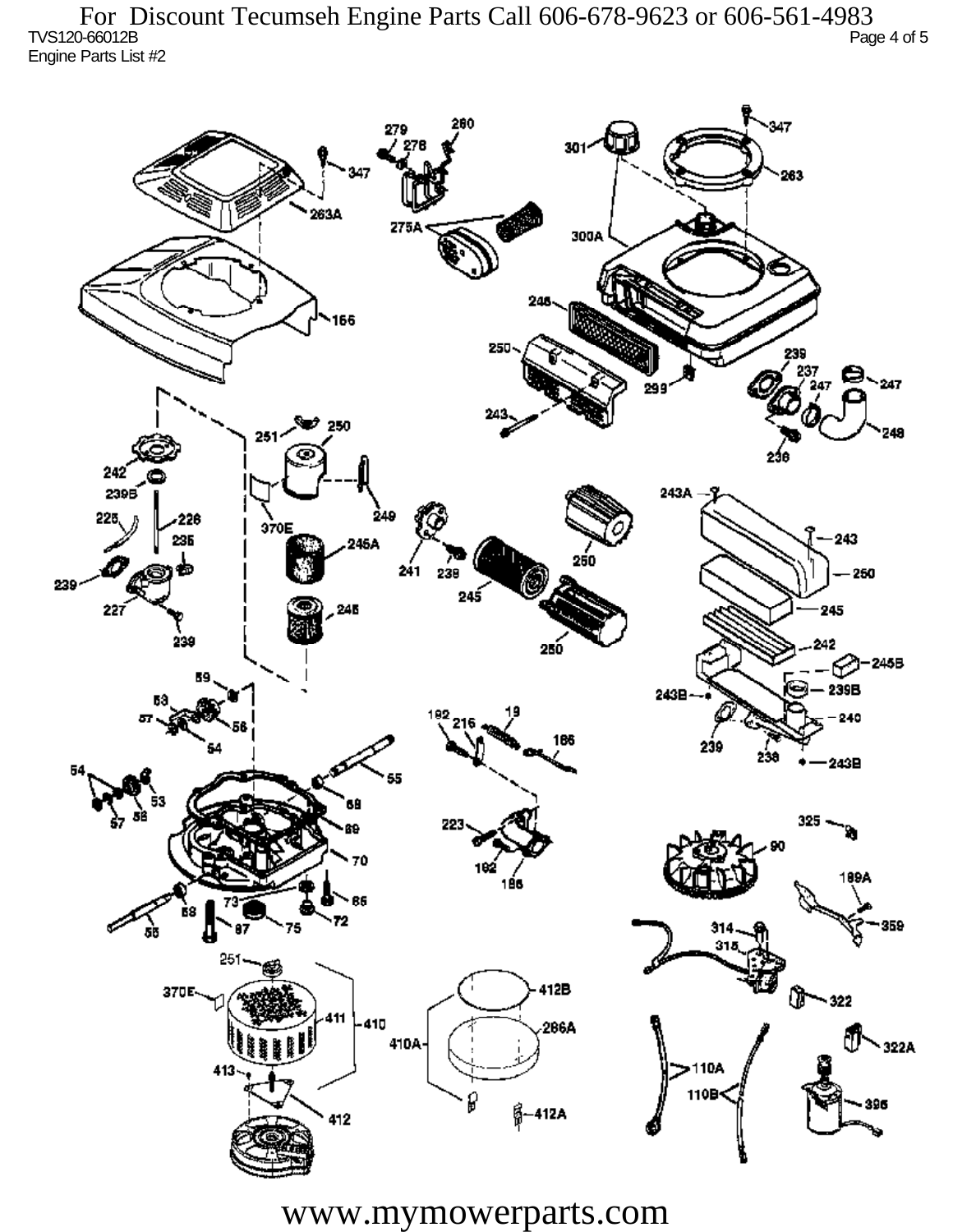TVS120-66012B Page 4 of 5 Engine Parts List #2 For Discount Tecumseh Engine Parts Call 606-678-9623 or 606-561-4983



www.mymowerparts.com